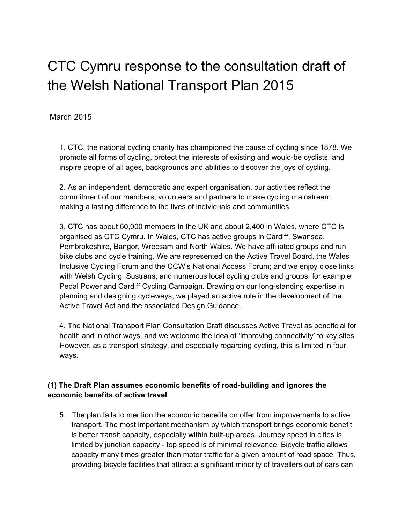# CTC Cymru response to the consultation draft of the Welsh National Transport Plan 2015

## March 2015

1. CTC, the national cycling charity has championed the cause of cycling since 1878. We promote all forms of cycling, protect the interests of existing and would-be cyclists, and inspire people of all ages, backgrounds and abilities to discover the joys of cycling.

2. As an independent, democratic and expert organisation, our activities reflect the commitment of our members, volunteers and partners to make cycling mainstream, making a lasting difference to the lives of individuals and communities.

3. CTC has about 60,000 members in the UK and about 2,400 in Wales, where CTC is organised as CTC Cymru. In Wales, CTC has active groups in Cardiff, Swansea, Pembrokeshire, Bangor, Wrecsam and North Wales. We have affiliated groups and run bike clubs and cycle training. We are represented on the Active Travel Board, the Wales Inclusive Cycling Forum and the CCW's National Access Forum; and we enjoy close links with Welsh Cycling, Sustrans, and numerous local cycling clubs and groups, for example Pedal Power and Cardiff Cycling Campaign. Drawing on our long-standing expertise in planning and designing cycleways, we played an active role in the development of the Active Travel Act and the associated Design Guidance.

4. The National Transport Plan Consultation Draft discusses Active Travel as beneficial for health and in other ways, and we welcome the idea of 'improving connectivity' to key sites. However, as a transport strategy, and especially regarding cycling, this is limited in four ways.

## **(1) The Draft Plan assumes economic benefits of roadbuilding and ignores the economic benefits of active travel**.

5. The plan fails to mention the economic benefits on offer from improvements to active transport. The most important mechanism by which transport brings economic benefit is better transit capacity, especially within built-up areas. Journey speed in cities is limited by junction capacity - top speed is of minimal relevance. Bicycle traffic allows capacity many times greater than motor traffic for a given amount of road space. Thus, providing bicycle facilities that attract a significant minority of travellers out of cars can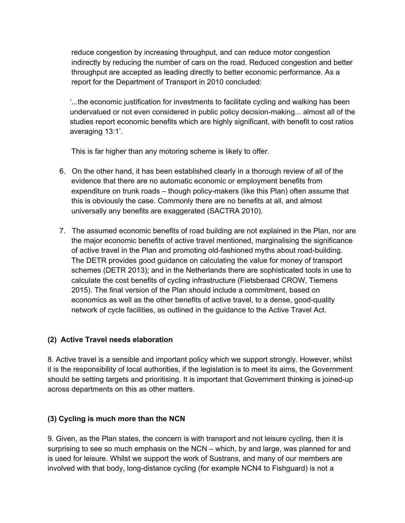reduce congestion by increasing throughput, and can reduce motor congestion indirectly by reducing the number of cars on the road. Reduced congestion and better throughput are accepted as leading directly to better economic performance. As a report for the Department of Transport in 2010 concluded:

'...the economic justification for investments to facilitate cycling and walking has been undervalued or not even considered in public policy decision-making... almost all of the studies report economic benefits which are highly significant, with benefit to cost ratios averaging 13:1'.

This is far higher than any motoring scheme is likely to offer.

- 6. On the other hand, it has been established clearly in a thorough review of all of the evidence that there are no automatic economic or employment benefits from expenditure on trunk roads – though policy-makers (like this Plan) often assume that this is obviously the case. Commonly there are no benefits at all, and almost universally any benefits are exaggerated (SACTRA 2010).
- 7. The assumed economic benefits of road building are not explained in the Plan, nor are the major economic benefits of active travel mentioned, marginalising the significance of active travel in the Plan and promoting old-fashioned myths about road-building. The DETR provides good guidance on calculating the value for money of transport schemes (DETR 2013); and in the Netherlands there are sophisticated tools in use to calculate the cost benefits of cycling infrastructure (Fietsberaad CROW, Tiemens 2015). The final version of the Plan should include a commitment, based on economics as well as the other benefits of active travel, to a dense, good-quality network of cycle facilities, as outlined in the guidance to the Active Travel Act.

#### **(2) Active Travel needs elaboration**

8. Active travel is a sensible and important policy which we support strongly. However, whilst it is the responsibility of local authorities, if the legislation is to meet its aims, the Government should be setting targets and prioritising. It is important that Government thinking is joined-up across departments on this as other matters.

#### **(3) Cycling is much more than the NCN**

9. Given, as the Plan states, the concern is with transport and not leisure cycling, then it is surprising to see so much emphasis on the NCN – which, by and large, was planned for and is used for leisure. Whilst we support the work of Sustrans, and many of our members are involved with that body, long-distance cycling (for example NCN4 to Fishguard) is not a